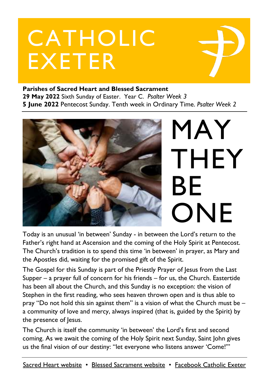# CATHOLIC EXETER

#### **Parishes of Sacred Heart and Blessed Sacrament**

**29 May 2022** Sixth Sunday of Easter. Year C. *Psalter Week 3* **5 June 2022** Pentecost Sunday. Tenth week in Ordinary Time. *Psalter Week 2*



Today is an unusual 'in between' Sunday - in between the Lord's return to the Father's right hand at Ascension and the coming of the Holy Spirit at Pentecost. The Church's tradition is to spend this time 'in between' in prayer, as Mary and the Apostles did, waiting for the promised gift of the Spirit.

The Gospel for this Sunday is part of the Priestly Prayer of Jesus from the Last Supper – a prayer full of concern for his friends – for us, the Church. Eastertide has been all about the Church, and this Sunday is no exception: the vision of Stephen in the first reading, who sees heaven thrown open and is thus able to pray "Do not hold this sin against them" is a vision of what the Church must be – a community of love and mercy, always inspired (that is, guided by the Spirit) by the presence of Jesus.

The Church is itself the community 'in between' the Lord's first and second coming. As we await the coming of the Holy Spirit next Sunday, Saint John gives us the final vision of our destiny: "let everyone who listens answer 'Come!'"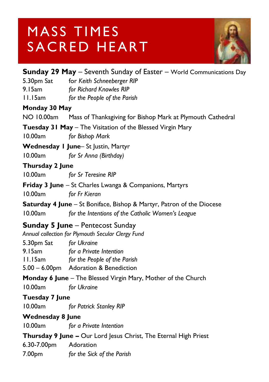# MASS TIMES SACRED HEART



**Sunday 29 May** – Seventh Sunday of Easter – World Communications Day 5.30pm Sat for *Keith Schneeberger RIP* 9.15am *for Richard Knowles RIP* 11.15am *for the People of the Parish* **Monday 30 May** NO 10.00am Mass of Thanksgiving for Bishop Mark at Plymouth Cathedral **Tuesday 31 May** – The Visitation of the Blessed Virgin Mary 10.00am *for Bishop Mark* Wednesday 1 June– St Justin, Martyr 10.00am *for Sr Anna (Birthday)* **Thursday 2 June** 10.00am *for Sr Teresine RIP* **Friday 3 June** – St Charles Lwanga & Companions, Martyrs 10.00am *for Fr Kieran* **Saturday 4 June** – St Boniface, Bishop & Martyr, Patron of the Diocese 10.00am *for the Intentions of the Catholic Women's League* **Sunday 5 June** – Pentecost Sunday *Annual collection for Plymouth Secular Clergy Fund* 5.30pm Sat *for Ukraine* 9.15am *for a Private Intention* 11.15am *for the People of the Parish* 5.00 – 6.00pm Adoration & Benediction **Monday 6 June** – The Blessed Virgin Mary, Mother of the Church 10.00am *for Ukraine* **Tuesday 7 June**  10.00am *for Patrick Stanley RIP* **Wednesday 8 June** 10.00am *for a Private Intention* **Thursday 9 June - Our Lord Jesus Christ, The Eternal High Priest** 6.30-7.00pm Adoration 7.00pm *for the Sick of the Parish*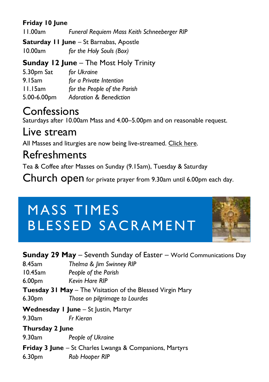#### **Friday 10 June**

11.00am *Funeral Requiem Mass Keith Schneeberger RIP*

**Saturday 11 June** – St Barnabas, Apostle

10.00am *for the Holy Souls (Box)*

#### **Sunday 12 June** – The Most Holy Trinity

| 5.30pm Sat  | for Ukraine                        |
|-------------|------------------------------------|
| 9. I 5am    | for a Private Intention            |
| 11.15am     | for the People of the Parish       |
| 5.00-6.00pm | <b>Adoration &amp; Benediction</b> |

#### **Confessions**

Saturdays after 10.00am Mass and 4.00–5.00pm and on reasonable request.

#### Live stream

All Masses and liturgies are now being live-streamed. [Click here.](https://www.youtube.com/channel/UCqZLydKWQ6CqG2utRNBeKmA)

#### Refreshments

Tea & Coffee after Masses on Sunday (9.15am), Tuesday & Saturday

Church open for private prayer from 9.30am until 6.00pm each day.

# MASS TIMES BLESSED SACRAMENT



|                    | <b>Sunday 29 May</b> - Seventh Sunday of Easter - World Communications Day |
|--------------------|----------------------------------------------------------------------------|
| 8.45am             | Thelma & Jim Swinney RIP                                                   |
| $10.45$ am         | People of the Parish                                                       |
| 6.00 <sub>pm</sub> | Kevin Hare RIP                                                             |
|                    | <b>Tuesday 31 May</b> – The Visitation of the Blessed Virgin Mary          |
| 6.30 <sub>pm</sub> | Those on pilgrimage to Lourdes                                             |
|                    | <b>Wednesday I June - St Justin, Martyr</b>                                |
| 9.30am             | Fr Kieran                                                                  |
| Thursday 2 June    |                                                                            |
| 9.30am             | People of Ukraine                                                          |
|                    | Friday 3 June - St Charles Lwanga & Companions, Martyrs                    |
| 6.30pm             | Rob Hooper RIP                                                             |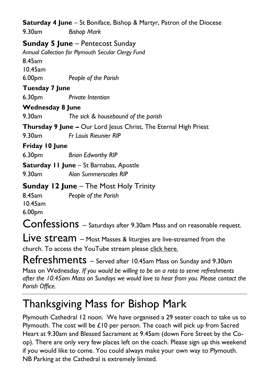**Saturday 4 June** – St Boniface, Bishop & Martyr, Patron of the Diocese 9.30am *Bishop Mark*

#### **Sunday 5 June** – Pentecost Sunday

*Annual Collection for Plymouth Secular Clergy Fund* 8.45am 10.45am 6.00pm *People of the Parish* **Tuesday 7 June** 6.30pm *Private Intention*

#### **Wednesday 8 June**

9.30am *The sick & housebound of the parish*

**Thursday 9 June –** Our Lord Jesus Christ, The Eternal High Priest

9.30am *Fr Louis Rieunier RIP*

#### **Friday 10 June**

6.30pm *Brian Edworthy RIP*

**Saturday 11 June** – St Barnabas, Apostle

9.30am *Alan Summerscales RIP*

**Sunday 12 June** – The Most Holy Trinity

8.45am *People of the Parish* 10.45am 6.00pm

Confessions – Saturdays after 9.30am Mass and on reasonable request.

Live stream – Most Masses & liturgies are live-streamed from the church. To access the YouTube stream please click [here.](https://www.youtube.com/c/BlessedSacramentExeter)

Refreshments – Served after 10.45am Mass on Sunday and 9.30am Mass on Wednesday. *If you would be willing to be on a rota to serve refreshments after the 10.45am Mass on Sundays we would love to hear from you. Please contact the Parish Office.*

#### Thanksgiving Mass for Bishop Mark

Plymouth Cathedral 12 noon. We have organised a 29 seater coach to take us to Plymouth. The cost will be £10 per person. The coach will pick up from Sacred Heart at 9.30am and Blessed Sacrament at 9.45am (down Fore Street by the Coop). There are only very few places left on the coach. Please sign up this weekend if you would like to come. You could always make your own way to Plymouth. NB Parking at the Cathedral is extremely limited.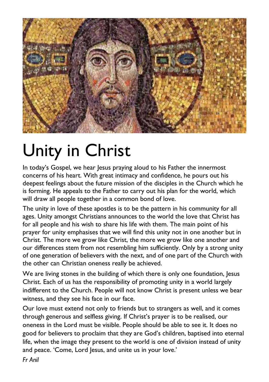

# Unity in Christ

In today's Gospel, we hear Jesus praying aloud to his Father the innermost concerns of his heart. With great intimacy and confidence, he pours out his deepest feelings about the future mission of the disciples in the Church which he is forming. He appeals to the Father to carry out his plan for the world, which will draw all people together in a common bond of love.

The unity in love of these apostles is to be the pattern in his community for all ages. Unity amongst Christians announces to the world the love that Christ has for all people and his wish to share his life with them. The main point of his prayer for unity emphasises that we will find this unity not in one another but in Christ. The more we grow like Christ, the more we grow like one another and our differences stem from not resembling him sufficiently. Only by a strong unity of one generation of believers with the next, and of one part of the Church with the other can Christian oneness really be achieved.

We are living stones in the building of which there is only one foundation, lesus Christ. Each of us has the responsibility of promoting unity in a world largely indifferent to the Church. People will not know Christ is present unless we bear witness, and they see his face in our face.

Our love must extend not only to friends but to strangers as well, and it comes through generous and selfless giving. If Christ's prayer is to be realised, our oneness in the Lord must be visible. People should be able to see it. It does no good for believers to proclaim that they are God's children, baptised into eternal life, when the image they present to the world is one of division instead of unity and peace. 'Come, Lord Jesus, and unite us in your love.'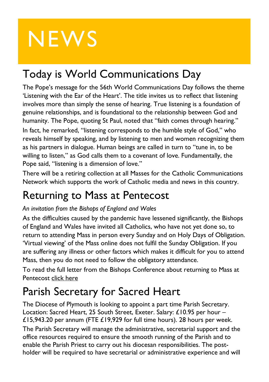# **NEWS**

#### Today is World Communications Day

The Pope's message for the 56th World Communications Day follows the theme 'Listening with the Ear of the Heart'. The title invites us to reflect that listening involves more than simply the sense of hearing. True listening is a foundation of genuine relationships, and is foundational to the relationship between God and humanity. The Pope, quoting St Paul, noted that "faith comes through hearing." In fact, he remarked, "listening corresponds to the humble style of God," who reveals himself by speaking, and by listening to men and women recognizing them as his partners in dialogue. Human beings are called in turn to "tune in, to be willing to listen," as God calls them to a covenant of love. Fundamentally, the Pope said, "listening is a dimension of love."

There will be a retiring collection at all Masses for the Catholic Communications Network which supports the work of Catholic media and news in this country.

#### Returning to Mass at Pentecost

#### *An invitation from the Bishops of England and Wales*

As the difficulties caused by the pandemic have lessened significantly, the Bishops of England and Wales have invited all Catholics, who have not yet done so, to return to attending Mass in person every Sunday and on Holy Days of Obligation. 'Virtual viewing' of the Mass online does not fulfil the Sunday Obligation. If you are suffering any illness or other factors which makes it difficult for you to attend Mass, then you do not need to follow the obligatory attendance.

To read the full letter from the Bishops Conference about returning to Mass at Pentecost click [here](https://www.cbcew.org.uk/spring-plenary-2022-resolution-returning-to-mass-at-pentecost/)

#### Parish Secretary for Sacred Heart

The Diocese of Plymouth is looking to appoint a part time Parish Secretary. Location: Sacred Heart, 25 South Street, Exeter. Salary: £10.95 per hour – £15,943.20 per annum (FTE £19,929 for full time hours). 28 hours per week.

The Parish Secretary will manage the administrative, secretarial support and the office resources required to ensure the smooth running of the Parish and to enable the Parish Priest to carry out his diocesan responsibilities. The postholder will be required to have secretarial or administrative experience and will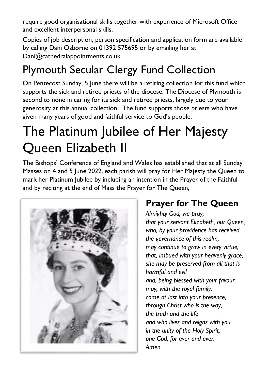require good organisational skills together with experience of Microsoft Office and excellent interpersonal skills.

Copies of job description, person specification and application form are available by calling Dani Osborne on 01392 575695 or by emailing her at [Dani@cathedralappointments.co.uk](mailto:Dani@cathedralappointments.co.uk)

# Plymouth Secular Clergy Fund Collection

On Pentecost Sunday, 5 June there will be a retiring collection for this fund which supports the sick and retired priests of the diocese. The Diocese of Plymouth is second to none in caring for its sick and retired priests, largely due to your generosity at this annual collection. The fund supports those priests who have given many years of good and faithful service to God's people.

# The Platinum Jubilee of Her Majesty Queen Elizabeth II

The Bishops' Conference of England and Wales has established that at all Sunday Masses on 4 and 5 June 2022, each parish will pray for Her Majesty the Queen to mark her Platinum Jubilee by including an intention in the Prayer of the Faithful and by reciting at the end of Mass the Prayer for The Queen,



#### **Prayer for The Queen**

*Almighty God, we pray, that your servant Elizabeth, our Queen, who, by your providence has received the governance of this realm, may continue to grow in every virtue, that, imbued with your heavenly grace, she may be preserved from all that is harmful and evil and, being blessed with your favour may, with the royal family, come at last into your presence, through Christ who is the way, the truth and the life and who lives and reigns with you in the unity of the Holy Spirit, one God, for ever and ever. Amen*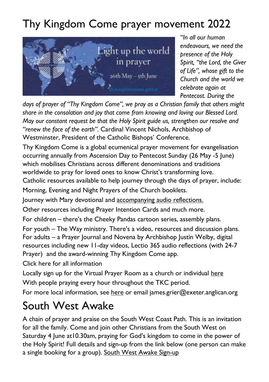## Thy Kingdom Come prayer movement 2022



*"In all our human endeavours, we need the presence of the Holy Spirit, "the Lord, the Giver of Life", whose gift to the Church and the world we celebrate again at Pentecost. During the*

*days of prayer of "Thy Kingdom Come", we pray as a Christian family that others might share in the consolation and joy that come from knowing and loving our Blessed Lord. May our constant request be that the Holy Spirit guide us, strengthen our resolve and "renew the face of the earth".* Cardinal Vincent Nichols, Archbishop of Westminster, President of the Catholic Bishops' Conference.

Thy Kingdom Come is a global ecumenical prayer movement for evangelisation occurring annually from Ascension Day to Pentecost Sunday (26 May -5 June) which mobilises Christians across different denominations and traditions worldwide to pray for loved ones to know Christ's transforming love. Catholic resources available to help journey through the days of prayer, include: Morning, Evening and Night Prayers of the Church booklets.

Journey with Mary devotional and [accompanying](https://eur03.safelinks.protection.outlook.com/?url=https%3A%2F%2Fwww.cbcew.org.uk%2Fhome%2Fevents%2Fthy-kingdom-come%2Fjourney-with-mary%2F&data=05%7C01%7CFleur.Dorrell%40biblesociety.org.uk%7Cbe2c7768b37b44483a0008da220db64e%7C707a8a9fd8614ff1937f94e1b73671b7%7C1%7C0%7C637859739553609721%7CUnknown%7CTWFpbGZsb3d8eyJWIjoiMC4wLjAwMDAiLCJQIjoiV2luMzIiLCJBTiI6Ik1haWwiLCJXVCI6Mn0%3D%7C3000%7C%7C%7C&sdata=LqL%2FiqUYZ2rOS6OwkL%2F9PKsomGXYQJsAG2Il9jcr59s%3D&reserved=0) audio reflections.

Other resources including Prayer Intention Cards and much more.

For children – there's the Cheeky Pandas cartoon series, assembly plans.

For youth – The Way ministry. There's a video, resources and discussion plans. For adults – a Prayer Journal and Novena by Archbishop Justin Welby, digital resources including new 11-day videos, Lectio 365 audio reflections (with 24-7 Prayer) and the award-winning Thy Kingdom Come app.

[Click](https://www.thykingdomcome.global/) here for all information

Locally sign up for the Virtual Prayer Room as a church or individual [here](https://pray.24-7prayer.com/signup/451a2f) With people praying every hour throughout the TKC period.

For more local information, see [here](https://linkprotect.cudasvc.com/url?a=https%3a%2f%2fexeter.anglican.org%2fchristian-faith%2fthy-kingdom-come-2022%2f&c=E,1,WbaDpsYZkzdvz88eS5WPM7FsLFsSk-up3auTd625iwwaoTZmKZZKoZbJwpEciL3zAY8fLDpcbEmEAIrArsa7Cs9XdbKDDKyH7ogT89Ymest4&typo=1) or email [james.grier@exeter.anglican.org](mailto:james.grier@exeter.anglican.org)

#### South West Awake

A chain of prayer and praise on the South West Coast Path. This is an invitation for all the family. Come and join other Christians from the South West on Saturday 4 June at10.30am, praying for God's kingdom to come in the power of the Holy Spirit! Full details and sign-up from the link below (one person can make a single booking for a group). South West Awake [Sign-up](https://www.southwestawake.com/join)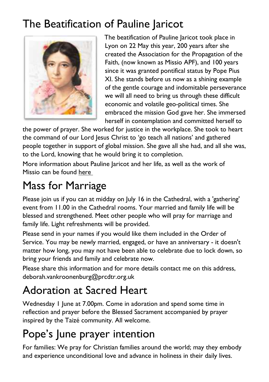#### The Beatification of Pauline Jaricot



The beatification of Pauline Jaricot took place in Lyon on 22 May this year, 200 years after she created the Association for the Propagation of the Faith, (now known as Missio APF), and 100 years since it was granted pontifical status by Pope Pius XI. She stands before us now as a shining example of the gentle courage and indomitable perseverance we will all need to bring us through these difficult economic and volatile geo-political times. She embraced the mission God gave her. She immersed herself in contemplation and committed herself to

the power of prayer. She worked for justice in the workplace. She took to heart the command of our Lord Jesus Christ to 'go teach all nations' and gathered people together in support of global mission. She gave all she had, and all she was, to the Lord, knowing that he would bring it to completion.

More information about Pauline Jaricot and her life, as well as the work of Missio can be found [here](https://missio.us14.list-manage.com/track/click?u=21674241bf803ffc7d5c45fd7&id=3fc72444b4&e=6d048c07a6)

#### Mass for Marriage

Please join us if you can at midday on July 16 in the Cathedral, with a 'gathering' event from 11.00 in the Cathedral rooms. Your married and family life will be blessed and strengthened. Meet other people who will pray for marriage and family life. Light refreshments will be provided.

Please send in your names if you would like them included in the Order of Service. You may be newly married, engaged, or have an anniversary - it doesn't matter how long, you may not have been able to celebrate due to lock down, so bring your friends and family and celebrate now.

Please share this information and for more details contact me on this address, deborah.vankroonenburg@prcdtr.org.uk

#### Adoration at Sacred Heart

Wednesday 1 June at 7.00pm. Come in adoration and spend some time in reflection and prayer before the Blessed Sacrament accompanied by prayer inspired by the Taizé community. All welcome.

# Pope's June prayer intention

For families: We pray for Christian families around the world; may they embody and experience unconditional love and advance in holiness in their daily lives.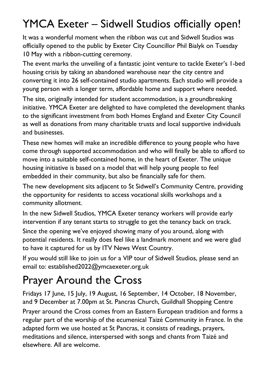#### YMCA Exeter – Sidwell Studios officially open!

It was a wonderful moment when the ribbon was cut and Sidwell Studios was officially opened to the public by Exeter City Councillor Phil Bialyk on Tuesday 10 May with a ribbon-cutting ceremony.

The event marks the unveiling of a fantastic joint venture to tackle Exeter's 1-bed housing crisis by taking an abandoned warehouse near the city centre and converting it into 26 self-contained studio apartments. Each studio will provide a young person with a longer term, affordable home and support where needed.

The site, originally intended for student accommodation, is a groundbreaking initiative. YMCA Exeter are delighted to have completed the development thanks to the significant investment from both Homes England and Exeter City Council as well as donations from many charitable trusts and local supportive individuals and businesses.

These new homes will make an incredible difference to young people who have come through supported accommodation and who will finally be able to afford to move into a suitable self-contained home, in the heart of Exeter. The unique housing initiative is based on a model that will help young people to feel embedded in their community, but also be financially safe for them.

The new development sits adjacent to St Sidwell's Community Centre, providing the opportunity for residents to access vocational skills workshops and a community allotment.

In the new Sidwell Studios, YMCA Exeter tenancy workers will provide early intervention if any tenant starts to struggle to get the tenancy back on track.

Since the opening we've enjoyed showing many of you around, along with potential residents. It really does feel like a landmark moment and we were glad to have it captured for us by ITV News West Country.

If you would still like to join us for a VIP tour of Sidwell Studios, please send an email to: established2022@ymcaexeter.org.uk

## Prayer Around the Cross

Fridays 17 June, 15 July, 19 August, 16 September, 14 October, 18 November, and 9 December at 7.00pm at St. Pancras Church, Guildhall Shopping Centre Prayer around the Cross comes from an Eastern European tradition and forms a regular part of the worship of the ecumenical Taizé Community in France. In the adapted form we use hosted at St Pancras, it consists of readings, prayers, meditations and silence, interspersed with songs and chants from Taizé and elsewhere. All are welcome.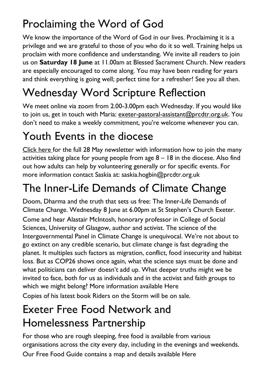## Proclaiming the Word of God

We know the importance of the Word of God in our lives. Proclaiming it is a privilege and we are grateful to those of you who do it so well. Training helps us proclaim with more confidence and understanding. We invite all readers to join us on **Saturday 18 June** at 11.00am at Blessed Sacrament Church. New readers are especially encouraged to come along. You may have been reading for years and think everything is going well; perfect time for a refresher! See you all then.

## Wednesday Word Scripture Reflection

We meet online via zoom from 2.00-3.00pm each Wednesday. If you would like to join us, get in touch with Maria: [exeter-pastoral-assistant@prcdtr.org.uk.](mailto:exeter-pastoral-assistant@prcdtr.org.uk) You don't need to make a weekly commitment, you're welcome whenever you can.

## Youth Events in the diocese

[Click](https://email.workwithgusto.co.uk/t/t-7DD027CB43031BD12540EF23F30FEDED) here for the full 28 May newsletter with information how to join the many activities taking place for young people from age  $8 - 18$  in the diocese. Also find out how adults can help by volunteering generally or for specific events. For more information contact Saskia at: saskia.hogbin@prcdtr.org.uk

#### The Inner-Life Demands of Climate Change

Doom, Dharma and the truth that sets us free: The Inner-Life Demands of Climate Change. Wednesday 8 June at 6.00pm at St Stephen's Church Exeter. Come and hear Alastair McIntosh, honorary professor in College of Social Sciences, University of Glasgow, author and activist. The science of the Intergovernmental Panel in Climate Change is unequivocal. We're not about to go extinct on any credible scenario, but climate change is fast degrading the planet. It multiples such factors as migration, conflict, food insecurity and habitat loss. But as COP26 shows once again, what the science says must be done and what politicians can deliver doesn't add up. What deeper truths might we be invited to face, both for us as individuals and in the activist and faith groups to which we might belong? More information available [Here](https://www.parishofcentralexeter.co.uk/listings/alastair-mcintosh-talk/)

Copies of his latest book Riders on the Storm will be on sale.

#### Exeter Free Food Network and Homelessness Partnership

For those who are rough sleeping, free food is available from various organisations across the city every day, including in the evenings and weekends. Our Free Food [Guide](https://stpetrocks.org.uk/wp-content/uploads/2022/04/Free-Food-Guide-April-22.pdf) contains a map and details available [Here](https://stpetrocks.org.uk/menu-text-in-need-of-help/free-food-guide-in-exeter/)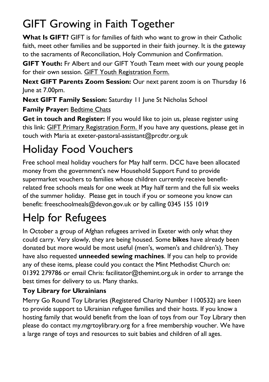## GIFT Growing in Faith Together

**What Is GIFT?** GIFT is for families of faith who want to grow in their Catholic faith, meet other families and be supported in their faith journey. It is the gateway to the sacraments of Reconciliation, Holy Communion and Confirmation.

**GIFT Youth:** Fr Albert and our GIFT Youth Team meet with our young people for their own session. GIFT Youth [Registration](https://docs.google.com/forms/d/1js2AU2QewgH1ui7kjv2-mKDJcyulRGa34G-Eo3ao8FI/edit) Form.

**Next GIFT Parents Zoom Session:** Our next parent zoom is on Thursday 16 June at 7.00pm.

**Next GIFT Family Session:** Saturday 11 June St Nicholas School

**Family Prayer:** [Bedtime](https://www.blessedsacrament.org.uk/parish-life/gift/) Chats

**Get in touch and Register:** If you would like to join us, please register using this link: GIFT Primary [Registration](https://docs.google.com/forms/d/1Qs8jP69t9hS5V3ukZvm34yn8pDZdS0iDYrhXY_j8pMQ/edit) Form. If you have any questions, please get in touch with Maria at [exeter-pastoral-assistant@prcdtr.org.uk](mailto:exeter-pastoral-assistant@prcdtr.org.uk)

# Holiday Food Vouchers

Free school meal holiday vouchers for May half term. DCC have been allocated money from the government's new Household Support Fund to provide supermarket vouchers to families whose children currently receive benefitrelated free schools meals for one week at May half term and the full six weeks of the summer holiday. Please get in touch if you or someone you know can benefit: [freeschoolmeals@devon.gov.uk](mailto:freeschoolmeals@devon.gov.uk) or by calling 0345 155 1019

# Help for Refugees

In October a group of Afghan refugees arrived in Exeter with only what they could carry. Very slowly, they are being housed. Some **bikes** have already been donated but more would be most useful (men's, women's and children's). They have also requested **unneeded sewing machines**. If you can help to provide any of these items, please could you contact the Mint Methodist Church on: 01392 279786 or email Chris: [facilitator@themint.org.uk](mailto:facilitator@themint.org.uk) in order to arrange the best times for delivery to us. Many thanks.

#### **Toy Library for Ukrainians**

Merry Go Round Toy Libraries (Registered Charity Number 1100532) are keen to provide support to Ukrainian refugee families and their hosts. If you know a hosting family that would benefit from the loan of toys from our Toy Library then please do contact [my.mgrtoylibrary.org](https://linkprotect.cudasvc.com/url?a=http%3a%2f%2fmy.mgrtoylibrary.org&c=E,1,YnPa_Rax11mqR4v8Kyd8u0hnxsWIiqynai4x4S9ZUoLojNArJwHik_XSIyeJin2V-fBNIh2Gi8ZHs-d7tFeu0AfdpCSAeR1FjTzuqmBzkhfu155qSHDIX123Kw,,&typo=1) for a free membership voucher. We have a large range of toys and resources to suit babies and children of all ages.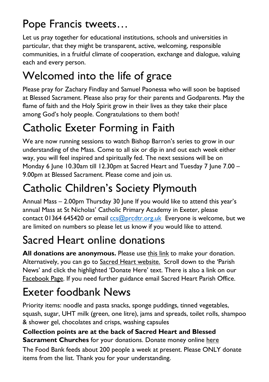## Pope Francis tweets…

Let us pray together for educational institutions, schools and universities in particular, that they might be transparent, active, welcoming, responsible communities, in a fruitful climate of cooperation, exchange and dialogue, valuing each and every person.

## Welcomed into the life of grace

Please pray for Zachary Findlay and Samuel Paonessa who will soon be baptised at Blessed Sacrament. Please also pray for their parents and Godparents. May the flame of faith and the Holy Spirit grow in their lives as they take their place among God's holy people. Congratulations to them both!

## Catholic Exeter Forming in Faith

We are now running sessions to watch Bishop Barron's series to grow in our understanding of the Mass. Come to all six or dip in and out each week either way, you will feel inspired and spiritually fed. The next sessions will be on Monday 6 June 10.30am till 12.30pm at Sacred Heart and Tuesday 7 June 7.00 – 9.00pm at Blessed Sacrament. Please come and join us.

# Catholic Children's Society Plymouth

Annual Mass – 2.00pm Thursday 30 June If you would like to attend this year's annual Mass at St Nicholas' Catholic Primary Academy in Exeter, please contact 01364 645420 or email [ccs@prcdtr.org.uk](mailto:ccs@prcdtr.org.uk) Everyone is welcome, but we are limited on numbers so please let us know if you would like to attend.

## Sacred Heart online donations

**All donations are anonymous.** Please use [this](https://givealittle.co/campaigns/f94e8739-d2fd-4ce6-9fca60470ef39403) link to make your donation. Alternatively, you can go to Sacred Heart [website.](https://www.sacredheartexeter.org/) Scroll down to the 'Parish News' and click the highlighted 'Donate Here' text. There is also a link on our [Facebook](https://www.facebook.com/Sacred-HeartCatholic-Church-Exeter-422138011310698) Page. If you need further guidance email Sacred Heart Parish Office.

## Exeter foodbank News

Priority items: noodle and pasta snacks, sponge puddings, tinned vegetables, squash, sugar, UHT milk (green, one litre), jams and spreads, toilet rolls, shampoo & shower gel, chocolates and crisps, washing capsules

#### **Collection points are at the back of Sacred Heart and Blessed Sacrament Churches** for your donations. Donate money online [here](https://uk.virginmoneygiving.com/charity-web/charity/finalCharityHomepage.action?charityId=1016975&_ga=2.106832579.1384579075.1617955505-1667813714.1617955505)

The Food Bank feeds about 200 people a week at present. Please ONLY donate items from the list. Thank you for your understanding.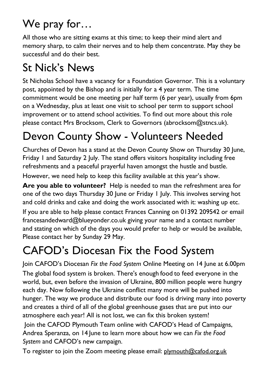## We pray for…

All those who are sitting exams at this time; to keep their mind alert and memory sharp, to calm their nerves and to help them concentrate. May they be successful and do their best.

## St Nick's News

St Nicholas School have a vacancy for a Foundation Governor. This is a voluntary post, appointed by the Bishop and is initially for a 4 year term. The time commitment would be one meeting per half term (6 per year), usually from 6pm on a Wednesday, plus at least one visit to school per term to support school improvement or to attend school activities. To find out more about this role please contact Mrs Brocksom, Clerk to Governors [\(abrocksom@stncs.uk\)](mailto:abrocksom@stncs.uk).

## Devon County Show - Volunteers Needed

Churches of Devon has a stand at the Devon County Show on Thursday 30 June, Friday 1 and Saturday 2 July. The stand offers visitors hospitality including free refreshments and a peaceful prayerful haven amongst the hustle and bustle. However, we need help to keep this facility available at this year's show.

**Are you able to volunteer?** Help is needed to man the refreshment area for one of the two days Thursday 30 June or Friday 1 July. This involves serving hot and cold drinks and cake and doing the work associated with it: washing up etc. If you are able to help please contact Frances Canning on 01392 209542 or email francesandedward@blueyonder.co.uk giving your name and a contact number and stating on which of the days you would prefer to help or would be available, Please contact her by Sunday 29 May.

#### CAFOD's Diocesan Fix the Food System

Join CAFOD's Diocesan *Fix the Food System* Online Meeting on 14 June at 6.00pm The global food system is broken. There's enough food to feed everyone in the world, but, even before the invasion of Ukraine, 800 million people were hungry each day. Now following the Ukraine conflict many more will be pushed into hunger. The way we produce and distribute our food is driving many into poverty and creates a third of all of the global greenhouse gases that are put into our atmosphere each year! All is not lost, we can fix this broken system!

Join the CAFOD Plymouth Team online with CAFOD's Head of Campaigns, Andrea Speranza, on 14 June to learn more about how we can *Fix the Food System* and CAFOD's new campaign.

To register to join the Zoom meeting please email: [plymouth@cafod.org.uk](mailto:plymouth@cafod.org.uk)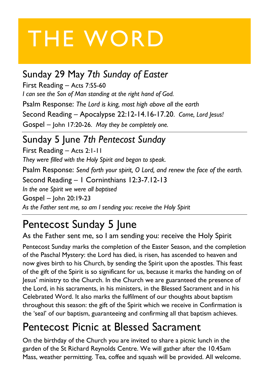# THE WORD

#### Sunday 29 May 7*th Sunday of Easter*

First Reading – Acts 7:55-60 *I can see the Son of Man standing at the right hand of God.* Psalm Response: *The Lord is king, most high above all the earth* Second Reading – Apocalypse 22:12-14.16-17.20. *Come, Lord Jesus!* Gospel – John 17:20-26. *May they be completely one.*

#### Sunday 5 June 7*th Pentecost Sunday*

First Reading – Acts 2:1-11 *They were filled with the Holy Spirit and began to speak.* Psalm Response: *Send forth your spirit, O Lord, and renew the face of the earth.* Second Reading – 1 Corninthians 12:3-7.12-13 *In the one Spirit we were all baptised* Gospel – John 20:19-23 *As the Father sent me, so am I sending you: receive the Holy Spirit*

#### Pentecost Sunday 5 June

As the Father sent me, so I am sending you: receive the Holy Spirit

Pentecost Sunday marks the completion of the Easter Season, and the completion of the Paschal Mystery: the Lord has died, is risen, has ascended to heaven and now gives birth to his Church, by sending the Spirit upon the apostles. This feast of the gift of the Spirit is so significant for us, because it marks the handing on of Jesus' ministry to the Church. In the Church we are guaranteed the presence of the Lord, in his sacraments, in his ministers, in the Blessed Sacrament and in his Celebrated Word. It also marks the fulfilment of our thoughts about baptism throughout this season: the gift of the Spirit which we receive in Confirmation is the 'seal' of our baptism, guaranteeing and confirming all that baptism achieves.

#### Pentecost Picnic at Blessed Sacrament

On the birthday of the Church you are invited to share a picnic lunch in the garden of the St Richard Reynolds Centre. We will gather after the 10.45am Mass, weather permitting. Tea, coffee and squash will be provided. All welcome.